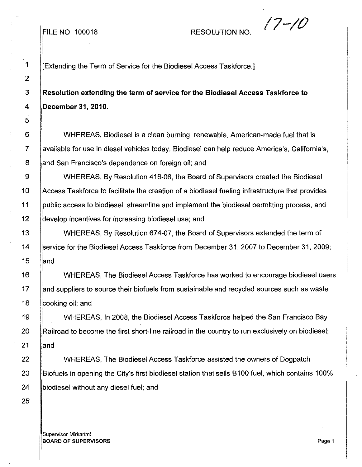## FILE NO. 100018 RESOLUTION NO.  $\sqrt{7-\sqrt{0}}$

1 | Extending the Term of Service for the Biodiesel Access Taskforce.]

3 **Resolution extending the term of service for the Biodiesel Access Taskforce to 4 December 31,2010.**

6 WHEREAS, Biodiesel is a clean burning, renewable, American-made fuel that is 7 Available for use in diesel vehicles today. Biodiesel can help reduce America's, California's, 8 and San Francisco's dependence on foreign oil; and

9 WHEREAS, By Resolution 416-06, the Board of Supervisors created the Biodiesel 10 Access Taskforce to facilitate the creation of a biodiesel fueling infrastructure that provides 11 | public access to biodiesel, streamline and implement the biodiesel permitting process, and 12 **develop incentives for increasing biodiesel use; and** 

13 WHEREAS, By Resolution 674-07, the Board of Supervisors extended the term of 14 Service for the Biodiesel Access Taskforce from December 31, 2007 to December 31, 2009;  $15$  and

16 WHEREAS, The Biodiesel Access Taskforce has worked to encourage biodiesel users 17 and suppliers to source their biofuels from sustainable and recycled sources such as waste 18 **cooking oil**; and

19 | WHEREAS, In 2008, the Biodiesel Access Taskforce helped the San Francisco Bay 20 **Railroad to become the first short-line railroad in the country to run exclusively on biodiesel;**  $21$  and

22 WHEREAS, The Biodiesel Access Taskforce assisted the owners of Dogpatch 23 Biofuels in opening the City's first biodiesel station that sells B100 fuel, which contains 100% 24 **biodiesel without any diesel fuel**; and

Supervisor Mirkarimi **BOARD OF SUPERVISORS** Page 1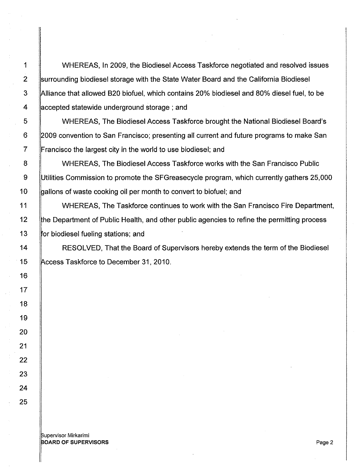1 WHEREAS, In 2009, the Biodiesel Access Taskforce negotiated and resolved issues 2 Surrounding biodiesel storage with the State Water Board and the California Biodiesel 3 ||Alliance that allowed B20 biofuel, which contains 20% biodiesel and 80% diesel fuel, to be 4 **accepted statewide underground storage; and** 

5 WHEREAS, The Biodiesel Access Taskforce brought the National Biodiesel Board's 6 2009 convention to San Francisco; presenting all current and future programs to make San 7 Francisco the largest city in the world to use biodiesel; and

8 | WHEREAS, The Biodiesel Access Taskforce works with the San Francisco Public 9 Utilities Commission to promote the SFGreasecycle program, which currently gathers 25,000 10 **budge 10** allons of waste cooking oil per month to convert to biofuel; and

11 WHEREAS, The Taskforce continues to work with the San Francisco Fire Department, 12 fthe Department of Public Health, and other public agencies to refine the permitting process 13 | for biodiesel fueling stations; and

14 | RESOLVED, That the Board of Supervisors hereby extends the term of the Biodiesel 15 Access Taskforce to December 31, 2010.